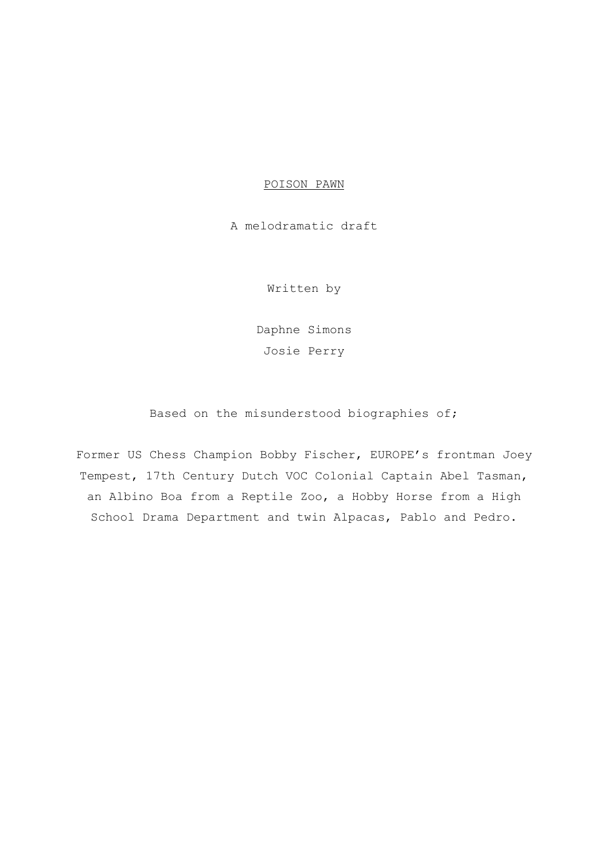## POISON PAWN

A melodramatic draft

Written by

Daphne Simons Josie Perry

Based on the misunderstood biographies of;

Former US Chess Champion Bobby Fischer, EUROPE's frontman Joey Tempest, 17th Century Dutch VOC Colonial Captain Abel Tasman, an Albino Boa from a Reptile Zoo, a Hobby Horse from a High School Drama Department and twin Alpacas, Pablo and Pedro.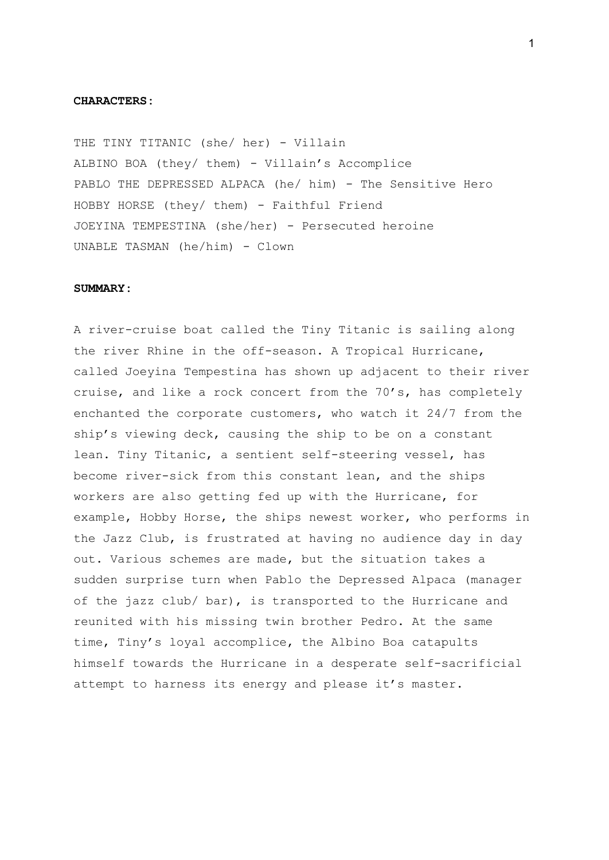## **CHARACTERS:**

THE TINY TITANIC (she/ her) - Villain ALBINO BOA (they/ them) - Villain's Accomplice PABLO THE DEPRESSED ALPACA (he/ him) - The Sensitive Hero HOBBY HORSE (they/ them) - Faithful Friend JOEYINA TEMPESTINA (she/her) - Persecuted heroine UNABLE TASMAN (he/him) - Clown

## SUMMARY:

A river-cruise boat called the Tiny Titanic is sailing along the river Rhine in the off-season. A Tropical Hurricane, called Joeyina Tempestina has shown up adjacent to their river cruise, and like a rock concert from the 70's, has completely enchanted the corporate customers, who watch it 24/7 from the ship's viewing deck, causing the ship to be on a constant lean. Tiny Titanic, a sentient self-steering vessel, has become river-sick from this constant lean, and the ships workers are also getting fed up with the Hurricane, for example, Hobby Horse, the ships newest worker, who performs in the Jazz Club, is frustrated at having no audience day in day out. Various schemes are made, but the situation takes a sudden surprise turn when Pablo the Depressed Alpaca (manager of the jazz club/ bar), is transported to the Hurricane and reunited with his missing twin brother Pedro. At the same time, Tiny's loyal accomplice, the Albino Boa catapults himself towards the Hurricane in a desperate self-sacrificial attempt to harness its energy and please it's master.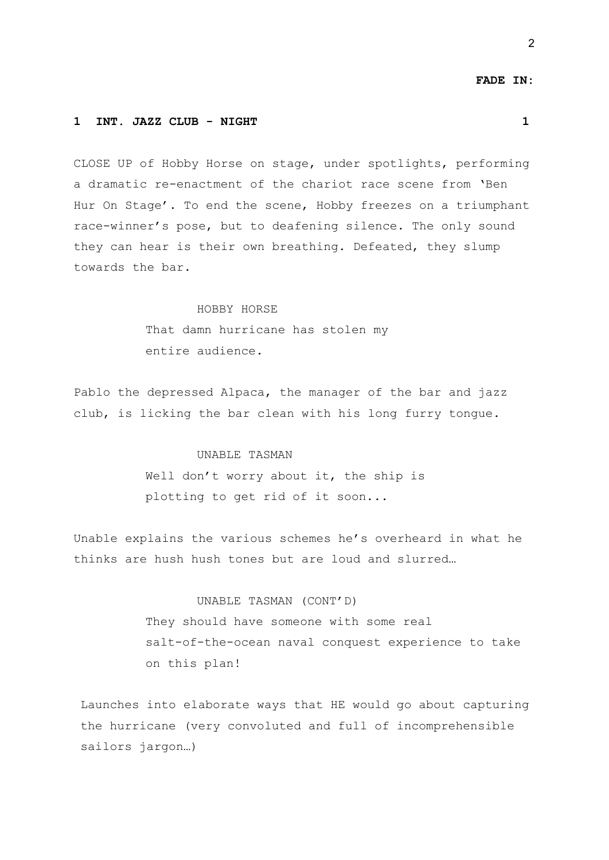#### **FADE IN:**

### **1 INT. JAZZ CLUB - NIGHT 1**

CLOSE UP of Hobby Horse on stage, under spotlights, performing a dramatic re-enactment of the chariot race scene from 'Ben Hur On Stage'. To end the scene, Hobby freezes on a triumphant race-winner's pose, but to deafening silence. The only sound they can hear is their own breathing. Defeated, they slump towards the bar.

## HOBBY HORSE

That damn hurricane has stolen my entire audience.

Pablo the depressed Alpaca, the manager of the bar and jazz club, is licking the bar clean with his long furry tongue.

## UNABLE TASMAN

Well don't worry about it, the ship is plotting to get rid of it soon...

Unable explains the various schemes he's overheard in what he thinks are hush hush tones but are loud and slurred…

# UNABLE TASMAN (CONT'D)

They should have someone with some real salt-of-the-ocean naval conquest experience to take on this plan!

Launches into elaborate ways that HE would go about capturing the hurricane (very convoluted and full of incomprehensible sailors jargon…)

2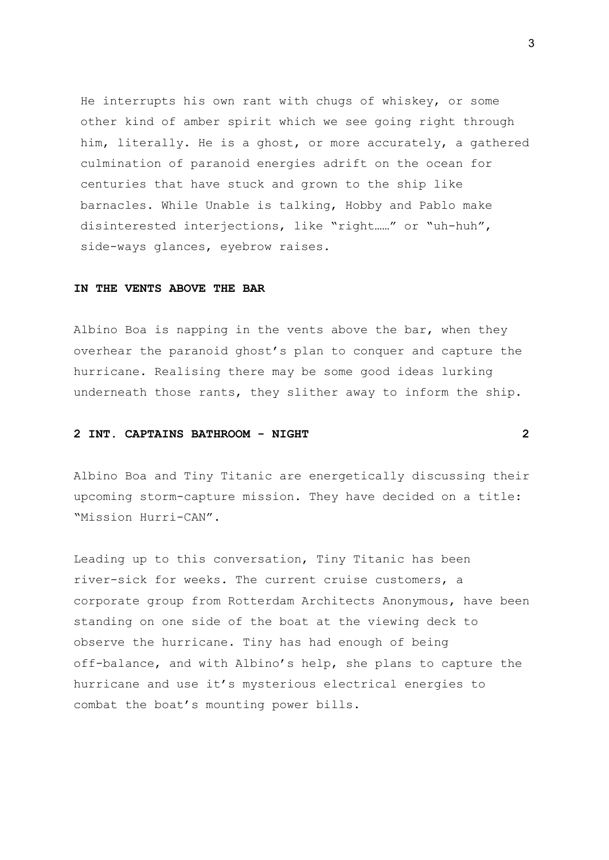He interrupts his own rant with chugs of whiskey, or some other kind of amber spirit which we see going right through him, literally. He is a ghost, or more accurately, a gathered culmination of paranoid energies adrift on the ocean for centuries that have stuck and grown to the ship like barnacles. While Unable is talking, Hobby and Pablo make disinterested interjections, like "right……" or "uh-huh", side-ways glances, eyebrow raises.

## **IN THE VENTS ABOVE THE BAR**

Albino Boa is napping in the vents above the bar, when they overhear the paranoid ghost's plan to conquer and capture the hurricane. Realising there may be some good ideas lurking underneath those rants, they slither away to inform the ship.

## **2 INT. CAPTAINS BATHROOM - NIGHT 2**

Albino Boa and Tiny Titanic are energetically discussing their upcoming storm-capture mission. They have decided on a title: "Mission Hurri-CAN".

Leading up to this conversation, Tiny Titanic has been river-sick for weeks. The current cruise customers, a corporate group from Rotterdam Architects Anonymous, have been standing on one side of the boat at the viewing deck to observe the hurricane. Tiny has had enough of being off-balance, and with Albino's help, she plans to capture the hurricane and use it's mysterious electrical energies to combat the boat's mounting power bills.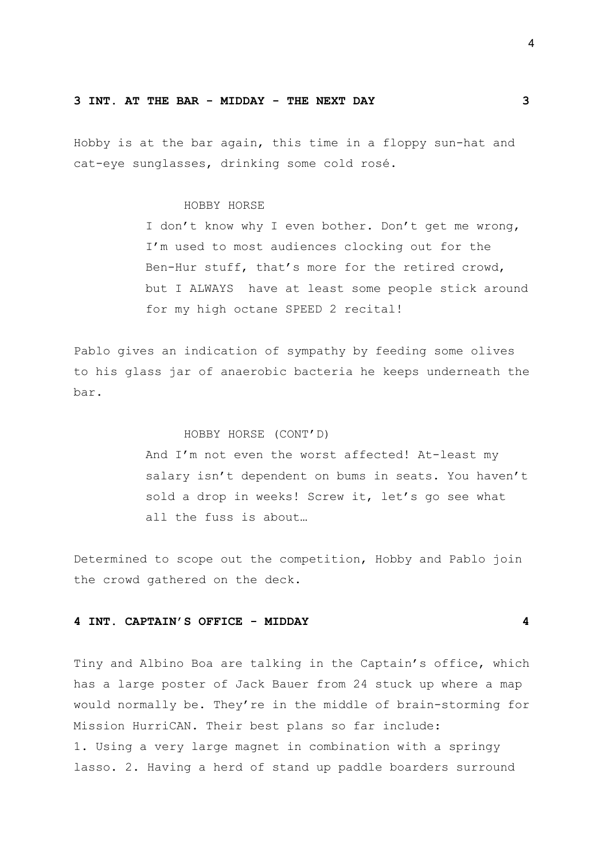#### **3 INT. AT THE BAR - MIDDAY - THE NEXT DAY 3**

Hobby is at the bar again, this time in a floppy sun-hat and cat-eye sunglasses, drinking some cold rosé.

## HOBBY HORSE

I don't know why I even bother. Don't get me wrong, I'm used to most audiences clocking out for the Ben-Hur stuff, that's more for the retired crowd, but I ALWAYS have at least some people stick around for my high octane SPEED 2 recital!

Pablo gives an indication of sympathy by feeding some olives to his glass jar of anaerobic bacteria he keeps underneath the bar.

## HOBBY HORSE (CONT'D)

And I'm not even the worst affected! At-least my salary isn't dependent on bums in seats. You haven't sold a drop in weeks! Screw it, let's go see what all the fuss is about…

Determined to scope out the competition, Hobby and Pablo join the crowd gathered on the deck.

## **4 INT. CAPTAIN'S OFFICE - MIDDAY 4**

Tiny and Albino Boa are talking in the Captain's office, which has a large poster of Jack Bauer from 24 stuck up where a map would normally be. They're in the middle of brain-storming for Mission HurriCAN. Their best plans so far include: 1. Using a very large magnet in combination with a springy lasso. 2. Having a herd of stand up paddle boarders surround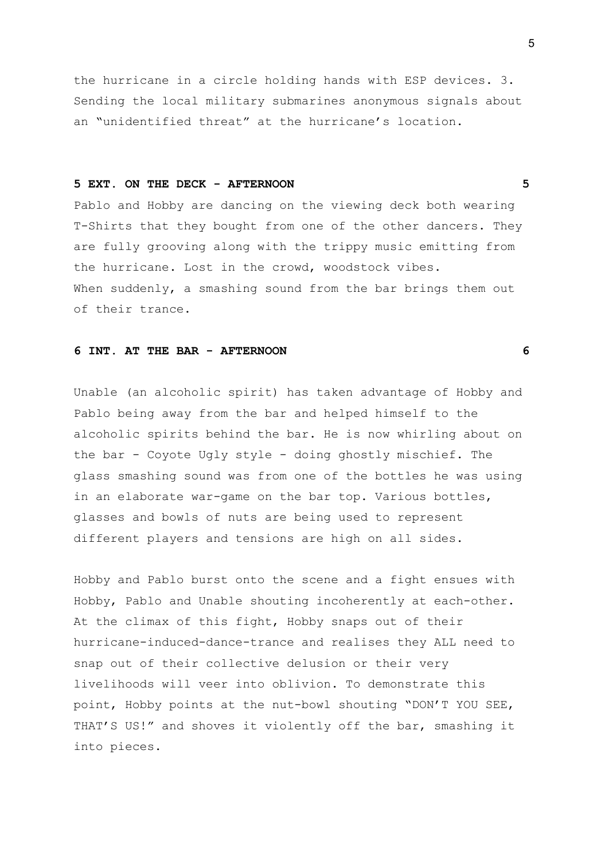the hurricane in a circle holding hands with ESP devices. 3. Sending the local military submarines anonymous signals about an "unidentified threat" at the hurricane's location.

## **5 EXT. ON THE DECK - AFTERNOON 5**

Pablo and Hobby are dancing on the viewing deck both wearing T-Shirts that they bought from one of the other dancers. They are fully grooving along with the trippy music emitting from the hurricane. Lost in the crowd, woodstock vibes. When suddenly, a smashing sound from the bar brings them out of their trance.

### **6 INT. AT THE BAR - AFTERNOON 6**

Unable (an alcoholic spirit) has taken advantage of Hobby and Pablo being away from the bar and helped himself to the alcoholic spirits behind the bar. He is now whirling about on the bar - Coyote Ugly style - doing ghostly mischief. The glass smashing sound was from one of the bottles he was using in an elaborate war-game on the bar top. Various bottles, glasses and bowls of nuts are being used to represent different players and tensions are high on all sides.

Hobby and Pablo burst onto the scene and a fight ensues with Hobby, Pablo and Unable shouting incoherently at each-other. At the climax of this fight, Hobby snaps out of their hurricane-induced-dance-trance and realises they ALL need to snap out of their collective delusion or their very livelihoods will veer into oblivion. To demonstrate this point, Hobby points at the nut-bowl shouting "DON'T YOU SEE, THAT'S US!" and shoves it violently off the bar, smashing it into pieces.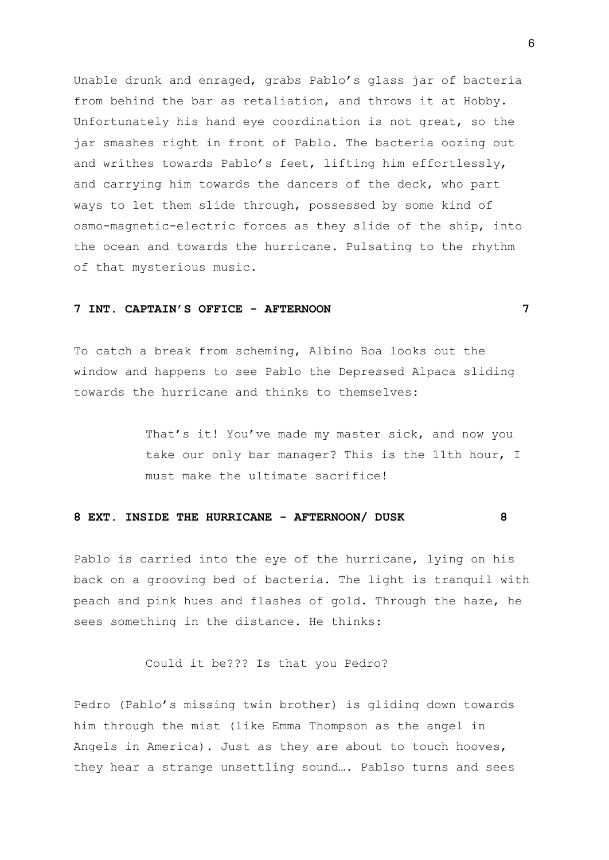Unable drunk and enraged, grabs Pablo's glass jar of bacteria from behind the bar as retaliation, and throws it at Hobby. Unfortunately his hand eye coordination is not great, so the jar smashes right in front of Pablo. The bacteria oozing out and writhes towards Pablo's feet, lifting him effortlessly, and carrying him towards the dancers of the deck, who part ways to let them slide through, possessed by some kind of osmo-magnetic-electric forces as they slide of the ship, into the ocean and towards the hurricane. Pulsating to the rhythm of that mysterious music.

## **7 INT. CAPTAIN'S OFFICE - AFTERNOON 7**

To catch a break from scheming, Albino Boa looks out the window and happens to see Pablo the Depressed Alpaca sliding towards the hurricane and thinks to themselves:

> That's it! You've made my master sick, and now you take our only bar manager? This is the 11th hour, I must make the ultimate sacrifice!

### **8 EXT. INSIDE THE HURRICANE - AFTERNOON/ DUSK 8**

Pablo is carried into the eye of the hurricane, lying on his back on a grooving bed of bacteria. The light is tranquil with peach and pink hues and flashes of gold. Through the haze, he sees something in the distance. He thinks:

Could it be??? Is that you Pedro?

Pedro (Pablo's missing twin brother) is gliding down towards him through the mist (like Emma Thompson as the angel in Angels in America). Just as they are about to touch hooves, they hear a strange unsettling sound…. Pablso turns and sees